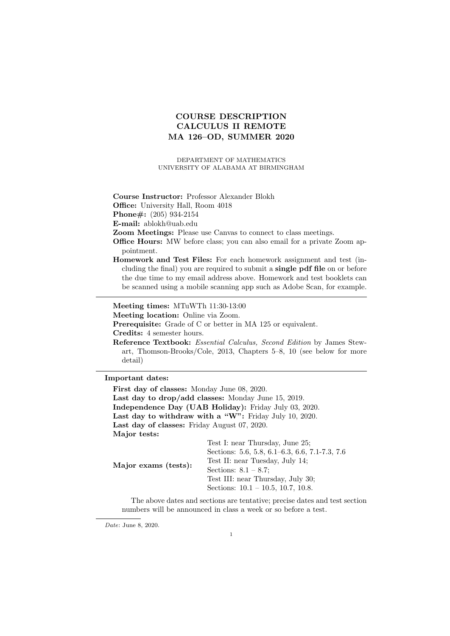# COURSE DESCRIPTION CALCULUS II REMOTE MA 126–OD, SUMMER 2020

DEPARTMENT OF MATHEMATICS UNIVERSITY OF ALABAMA AT BIRMINGHAM

Course Instructor: Professor Alexander Blokh

Office: University Hall, Room 4018

Phone#: (205) 934-2154

E-mail: ablokh@uab.edu

Zoom Meetings: Please use Canvas to connect to class meetings.

- Office Hours: MW before class; you can also email for a private Zoom appointment.
- Homework and Test Files: For each homework assignment and test (including the final) you are required to submit a single pdf file on or before the due time to my email address above. Homework and test booklets can be scanned using a mobile scanning app such as Adobe Scan, for example.

Meeting times: MTuWTh 11:30-13:00

Meeting location: Online via Zoom.

Prerequisite: Grade of C or better in MA 125 or equivalent.

Credits: 4 semester hours.

### Important dates:

First day of classes: Monday June 08, 2020. Last day to drop/add classes: Monday June 15, 2019. Independence Day (UAB Holiday): Friday July 03, 2020. Last day to withdraw with a "W": Friday July 10, 2020. Last day of classes: Friday August 07, 2020. Major tests: Test I: near Thursday, June 25;

|                      | $2000$ 1. Howe extended to the $-0$ .          |
|----------------------|------------------------------------------------|
| Major exams (tests): | Sections: 5.6, 5.8, 6.1–6.3, 6.6, 7.1-7.3, 7.6 |
|                      | Test II: near Tuesday, July 14;                |
|                      | Sections: $8.1 - 8.7$ ;                        |
|                      | Test III: near Thursday, July 30;              |
|                      | Sections: $10.1 - 10.5$ , 10.7, 10.8.          |
|                      |                                                |

The above dates and sections are tentative; precise dates and test section numbers will be announced in class a week or so before a test.

Date: June 8, 2020.

Reference Textbook: Essential Calculus, Second Edition by James Stewart, Thomson-Brooks/Cole, 2013, Chapters 5–8, 10 (see below for more detail)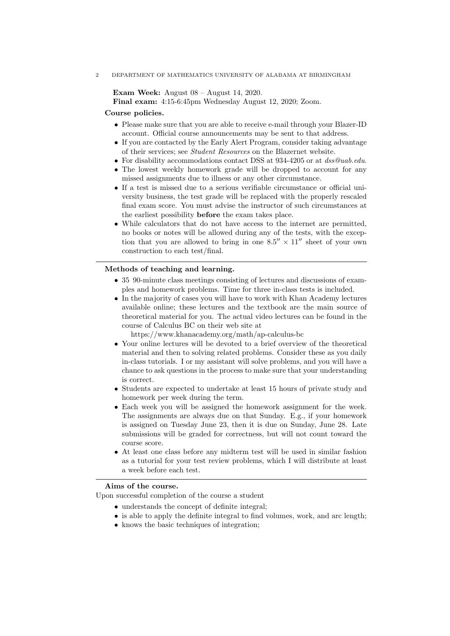2 DEPARTMENT OF MATHEMATICS UNIVERSITY OF ALABAMA AT BIRMINGHAM

Exam Week: August 08 – August 14, 2020.

Final exam: 4:15-6:45pm Wednesday August 12, 2020; Zoom.

## Course policies.

- Please make sure that you are able to receive e-mail through your Blazer-ID account. Official course announcements may be sent to that address.
- If you are contacted by the Early Alert Program, consider taking advantage of their services; see Student Resources on the Blazernet website.
- For disability accommodations contact DSS at 934-4205 or at  $dss@uab.edu$ .
- The lowest weekly homework grade will be dropped to account for any missed assignments due to illness or any other circumstance.
- If a test is missed due to a serious verifiable circumstance or official university business, the test grade will be replaced with the properly rescaled final exam score. You must advise the instructor of such circumstances at the earliest possibility before the exam takes place.
- While calculators that do not have access to the internet are permitted, no books or notes will be allowed during any of the tests, with the exception that you are allowed to bring in one  $8.5'' \times 11''$  sheet of your own construction to each test/final.

## Methods of teaching and learning.

- 35 90-minute class meetings consisting of lectures and discussions of examples and homework problems. Time for three in-class tests is included.
- In the majority of cases you will have to work with Khan Academy lectures available online; these lectures and the textbook are the main source of theoretical material for you. The actual video lectures can be found in the course of Calculus BC on their web site at

https://www.khanacademy.org/math/ap-calculus-bc

- Your online lectures will be devoted to a brief overview of the theoretical material and then to solving related problems. Consider these as you daily in-class tutorials. I or my assistant will solve problems, and you will have a chance to ask questions in the process to make sure that your understanding is correct.
- Students are expected to undertake at least 15 hours of private study and homework per week during the term.
- Each week you will be assigned the homework assignment for the week. The assignments are always due on that Sunday. E.g., if your homework is assigned on Tuesday June 23, then it is due on Sunday, June 28. Late submissions will be graded for correctness, but will not count toward the course score.
- At least one class before any midterm test will be used in similar fashion as a tutorial for your test review problems, which I will distribute at least a week before each test.

#### Aims of the course.

Upon successful completion of the course a student

- understands the concept of definite integral;
- is able to apply the definite integral to find volumes, work, and arc length;
- knows the basic techniques of integration;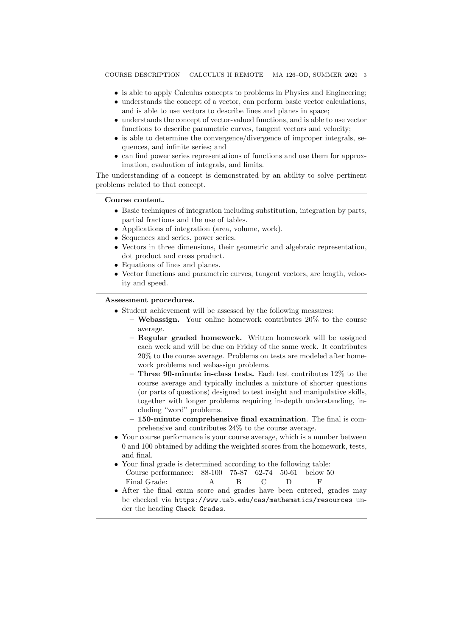COURSE DESCRIPTION CALCULUS II REMOTE MA 126–OD, SUMMER 2020 3

- is able to apply Calculus concepts to problems in Physics and Engineering;
- understands the concept of a vector, can perform basic vector calculations, and is able to use vectors to describe lines and planes in space;
- understands the concept of vector-valued functions, and is able to use vector functions to describe parametric curves, tangent vectors and velocity;
- is able to determine the convergence/divergence of improper integrals, sequences, and infinite series; and
- can find power series representations of functions and use them for approximation, evaluation of integrals, and limits.

The understanding of a concept is demonstrated by an ability to solve pertinent problems related to that concept.

#### Course content.

- Basic techniques of integration including substitution, integration by parts, partial fractions and the use of tables.
- Applications of integration (area, volume, work).
- Sequences and series, power series.
- Vectors in three dimensions, their geometric and algebraic representation, dot product and cross product.
- Equations of lines and planes.
- Vector functions and parametric curves, tangent vectors, arc length, velocity and speed.

#### Assessment procedures.

- Student achievement will be assessed by the following measures:
	- Webassign. Your online homework contributes  $20\%$  to the course average.
	- Regular graded homework. Written homework will be assigned each week and will be due on Friday of the same week. It contributes 20% to the course average. Problems on tests are modeled after homework problems and webassign problems.
	- Three 90-minute in-class tests. Each test contributes 12% to the course average and typically includes a mixture of shorter questions (or parts of questions) designed to test insight and manipulative skills, together with longer problems requiring in-depth understanding, including "word" problems.
	- 150-minute comprehensive final examination. The final is comprehensive and contributes 24% to the course average.
- Your course performance is your course average, which is a number between 0 and 100 obtained by adding the weighted scores from the homework, tests, and final.
- Your final grade is determined according to the following table: Course performance: 88-100 75-87 62-74 50-61 below 50 Final Grade: A B C D F
- After the final exam score and grades have been entered, grades may be checked via https://www.uab.edu/cas/mathematics/resources under the heading Check Grades.